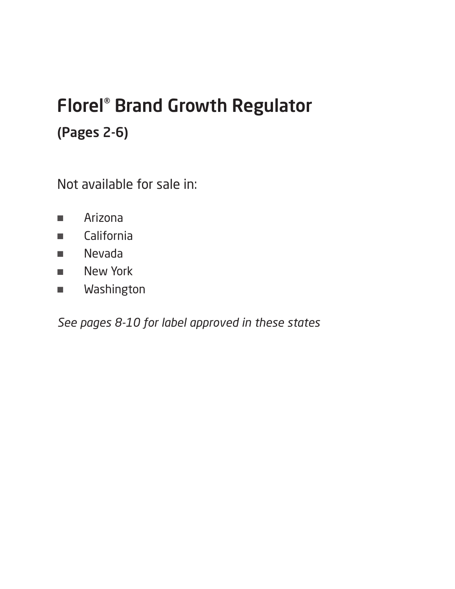## Florel® Brand Growth Regulator (Pages 2-6)

Not available for sale in:

- Arizona
- California
- Nevada
- New York
- Washington

*See pages 8-10 for label approved in these states*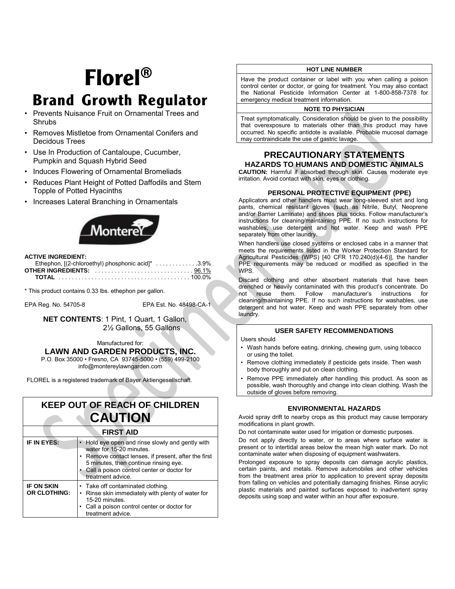## **Florel® Brand Growth Regulator**

- Prevents Nuisance Fruit on Ornamental Trees and Shrubs
- Removes Mistletoe from Ornamental Conifers and Decidous Trees
- Use In Production of Cantaloupe, Cucumber, Pumpkin and Squash Hybrid Seed
- Induces Flowering of Ornamental Bromeliads
- Reduces Plant Height of Potted Daffodils and Stem Topple of Potted Hyacinths
- Increases Lateral Branching in Ornamentals



#### **ACTIVE INGREDIENT:**

| Ethephon, $[(2-chloroethyl) phosphonic acid]^*$ 3.9% |  |
|------------------------------------------------------|--|
|                                                      |  |
|                                                      |  |

\* This product contains 0.33 lbs. ethephon per gallon.

EPA Reg. No. 54705-8 EPA Est. No. 48498-CA-1

**NET CONTENTS**: 1 Pint, 1 Quart, 1 Gallon, 2½ Gallons, 55 Gallons

Manufactured for: **LAWN AND GARDEN PRODUCTS, INC.**  P.O. Box 35000 • Fresno, CA 93745-5000 • (559) 499-2100

info@montereylawngarden.com

FLOREL is a registered trademark of Bayer Aktiengesellschaft.

## **KEEP OUT OF REACH OF CHILDREN CAUTION**

## **FIRST AID**

| IF IN EYES:                              | • Hold eye open and rinse slowly and gently with<br>water for 15-20 minutes.<br>• Remove contact lenses, if present, after the first<br>5 minutes, then continue rinsing eye.<br>• Call a poison control center or doctor for<br>treatment advice. |
|------------------------------------------|----------------------------------------------------------------------------------------------------------------------------------------------------------------------------------------------------------------------------------------------------|
| <b>IF ON SKIN</b><br><b>OR CLOTHING:</b> | • Take off contaminated clothing.<br>• Rinse skin immediately with plenty of water for<br>15-20 minutes.<br>• Call a poison control center or doctor for<br>treatment advice.                                                                      |

#### **HOT LINE NUMBER**

Have the product container or label with you when calling a poison control center or doctor, or going for treatment. You may also contact the National Pesticide Information Center at 1-800-858-7378 for emergency medical treatment information.

#### **NOTE TO PHYSICIAN**

Treat symptomatically. Consideration should be given to the possibility that overexposure to materials other than this product may have occurred. No specific antidote is available. Probable mucosal damage may contraindicate the use of gastric lavage.

## **PRECAUTIONARY STATEMENTS HAZARDS TO HUMANS AND DOMESTIC ANIMALS**

**CAUTION:** Harmful if absorbed through skin. Causes moderate eye irritation. Avoid contact with skin, eyes or clothing.

### **PERSONAL PROTECTIVE EQUIPMENT (PPE)**

Applicators and other handlers must wear long-sleeved shirt and long pants, chemical resistant gloves (such as Nitrile, Butyl, Neoprene and/or Barrier Laminate) and shoes plus socks. Follow manufacturer's instructions for cleaning/maintaining PPE. If no such instructions for washables, use detergent and hot water. Keep and wash PPE separately from other laundry.

When handlers use closed systems or enclosed cabs in a manner that meets the requirements listed in the Worker Protection Standard for Agricultural Pesticides (WPS) [40 CFR 170.240(d)(4-6)], the handler PPE requirements may be reduced or modified as specified in the WPS.

Discard clothing and other absorbent materials that have been drenched or heavily contaminated with this product's concentrate. Do<br>not seuse them Follow manufacturer's instructions for not reuse them. Follow manufacturer's instructions for cleaning/maintaining PPE. If no such instructions for washables, use detergent and hot water. Keep and wash PPE separately from other laundry.

### **USER SAFETY RECOMMENDATIONS**

Users should

- Wash hands before eating, drinking, chewing gum, using tobacco or using the toilet.
- Remove clothing immediately if pesticide gets inside. Then wash body thoroughly and put on clean clothing.
- Remove PPE immediately after handling this product. As soon as possible, wash thoroughly and change into clean clothing. Wash the outside of gloves before removing.

## **ENVIRONMENTAL HAZARDS**

Avoid spray drift to nearby crops as this product may cause temporary modifications in plant growth.

Do not contaminate water used for irrigation or domestic purposes.

Do not apply directly to water, or to areas where surface water is present or to intertidal areas below the mean high water mark. Do not contaminate water when disposing of equipment washwaters.

Prolonged exposure to spray deposits can damage acrylic plastics, certain paints, and metals. Remove automobiles and other vehicles from the treatment area prior to application to prevent spray deposits from falling on vehicles and potentially damaging finishes. Rinse acrylic plastic materials and painted surfaces exposed to inadvertent spray deposits using soap and water within an hour after exposure.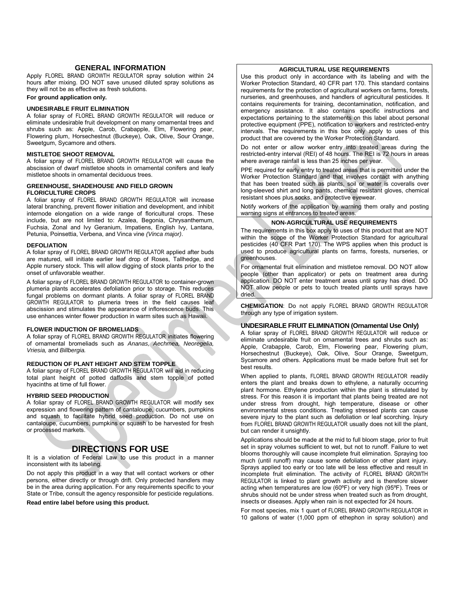#### **GENERAL INFORMATION**

Apply FLOREL BRAND GROWTH REGULATOR spray solution within 24 hours after mixing. DO NOT save unused diluted spray solutions as they will not be as effective as fresh solutions.

#### **For ground application only.**

#### **UNDESIRABLE FRUIT ELIMINATION**

A foliar spray of FLOREL BRAND GROWTH REGULATOR will reduce or eliminate undesirable fruit development on many ornamental trees and shrubs such as: Apple, Carob, Crabapple, Elm, Flowering pear, Flowering plum, Horsechestnut (Buckeye), Oak, Olive, Sour Orange, Sweetgum, Sycamore and others.

#### **MISTLETOE SHOOT REMOVAL**

A foliar spray of FLOREL BRAND GROWTH REGULATOR will cause the abscission of dwarf mistletoe shoots in ornamental conifers and leafy mistletoe shoots in ornamental deciduous trees.

#### **GREENHOUSE, SHADEHOUSE AND FIELD GROWN FLORICULTURE CROPS**

A foliar spray of FLOREL BRAND GROWTH REGULATOR will increase lateral branching, prevent flower initiation and development, and inhibit internode elongation on a wide range of floricultural crops. These include, but are not limited to: Azalea, Begonia, Chrysanthemum, Fuchsia, Zonal and Ivy Geranium, Impatiens, English Ivy, Lantana, Petunia, Poinsettia, Verbena, and Vinca vine *(Vinca major)*.

#### **DEFOLIATION**

A foliar spray of FLOREL BRAND GROWTH REGULATOR applied after buds are matured, will initiate earlier leaf drop of Roses, Tallhedge, and Apple nursery stock. This will allow digging of stock plants prior to the onset of unfavorable weather.

A foliar spray of FLOREL BRAND GROWTH REGULATOR to container-grown plumeria plants accelerates defoliation prior to storage. This reduces fungal problems on dormant plants. A foliar spray of FLOREL BRAND GROWTH REGULATOR to plumeria trees in the field causes leaf abscission and stimulates the appearance of inflorescence buds. This use enhances winter flower production in warm sites such as Hawaii.

#### **FLOWER INDUCTION OF BROMELIADS**

A foliar spray of FLOREL BRAND GROWTH REGULATOR initiates flowering of ornamental bromeliads such as *Ananas, Aechmea, Neoregelia, Vriesia,* and *Billbergia.* 

#### **REDUCTION OF PLANT HEIGHT AND STEM TOPPLE**

A foliar spray of FLOREL BRAND GROWTH REGULATOR will aid in reducing total plant height of potted daffodils and stem topple of potted hyacinths at time of full flower.

#### **HYBRID SEED PRODUCTION**

A foliar spray of FLOREL BRAND GROWTH REGULATOR will modify sex expression and flowering pattern of cantaloupe, cucumbers, pumpkins and squash to facilitate hybrid seed production. Do not use on cantaloupe, cucumbers, pumpkins or squash to be harvested for fresh or processed markets.

## **DIRECTIONS FOR USE**

It is a violation of Federal Law to use this product in a manner inconsistent with its labeling.

Do not apply this product in a way that will contact workers or other persons, either directly or through drift. Only protected handlers may be in the area during application. For any requirements specific to your State or Tribe, consult the agency responsible for pesticide regulations.

**Read entire label before using this product.** 

### **AGRICULTURAL USE REQUIREMENTS**

Use this product only in accordance with its labeling and with the Worker Protection Standard, 40 CFR part 170. This standard contains requirements for the protection of agricultural workers on farms, forests, nurseries, and greenhouses, and handlers of agricultural pesticides. It contains requirements for training, decontamination, notification, and emergency assistance. It also contains specific instructions and expectations pertaining to the statements on this label about personal protective equipment (PPE), notification to workers and restricted-entry intervals. The requirements in this box only apply to uses of this product that are covered by the Worker Protection Standard.

Do not enter or allow worker entry into treated areas during the restricted-entry interval (REI) of 48 hours. The REI is 72 hours in areas where average rainfall is less than 25 inches per year.

PPE required for early entry to treated areas that is permitted under the Worker Protection Standard and that involves contact with anything that has been treated such as plants, soil or water is coveralls over long-sleeved shirt and long pants, chemical resistant gloves, chemical resistant shoes plus socks, and protective eyewear.

Notify workers of the application by warning them orally and posting warning signs at entrances to treated areas.

#### **NON-AGRICULTURAL USE REQUIREMENTS**

The requirements in this box apply to uses of this product that are NOT within the scope of the Worker Protection Standard for agricultural pesticides (40 CFR Part 170). The WPS applies when this product is used to produce agricultural plants on farms, forests, nurseries, or greenhouses.

For ornamental fruit elimination and mistletoe removal. DO NOT allow people (other than applicator) or pets on treatment area during application. DO NOT enter treatment areas until spray has dried. DO NOT allow people or pets to touch treated plants until sprays have dried.

**CHEMIGATION**: Do not apply FLOREL BRAND GROWTH REGULATOR through any type of irrigation system.

#### **UNDESIRABLE FRUIT ELIMINATION (Ornamental Use Only)**

A foliar spray of FLOREL BRAND GROWTH REGULATOR will reduce or eliminate undesirable fruit on ornamental trees and shrubs such as: Apple, Crabapple, Carob, Elm, Flowering pear, Flowering plum, Horsechestnut (Buckeye), Oak, Olive, Sour Orange, Sweetgum, Sycamore and others. Applications must be made before fruit set for best results.

When applied to plants, FLOREL BRAND GROWTH REGULATOR readily enters the plant and breaks down to ethylene, a naturally occurring plant hormone. Ethylene production within the plant is stimulated by stress. For this reason it is important that plants being treated are not under stress from drought, high temperature, disease or other environmental stress conditions. Treating stressed plants can cause severe injury to the plant such as defoliation or leaf scorching. Injury from FLOREL BRAND GROWTH REGULATOR usually does not kill the plant, but can render it unsightly.

Applications should be made at the mid to full bloom stage, prior to fruit set in spray volumes sufficient to wet, but not to runoff. Failure to wet blooms thoroughly will cause incomplete fruit elimination. Spraying too much (until runoff) may cause some defoliation or other plant injury. Sprays applied too early or too late will be less effective and result in incomplete fruit elimination. The activity of FLOREL BRAND GROWTH REGULATOR is linked to plant growth activity and is therefore slower acting when temperatures are low (60ºF) or very high (95ºF). Trees or shrubs should not be under stress when treated such as from drought, insects or diseases. Apply when rain is not expected for 24 hours.

For most species, mix 1 quart of FLOREL BRAND GROWTH REGULATOR in 10 gallons of water (1,000 ppm of ethephon in spray solution) and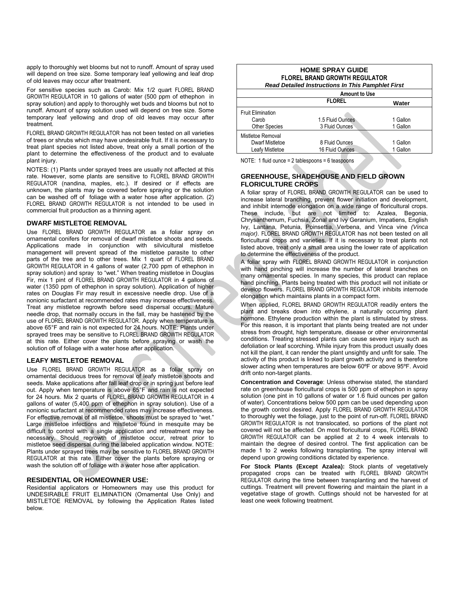apply to thoroughly wet blooms but not to runoff. Amount of spray used will depend on tree size. Some temporary leaf yellowing and leaf drop of old leaves may occur after treatment.

For sensitive species such as Carob: Mix 1/2 quart FLOREL BRAND GROWTH REGULATOR in 10 gallons of water (500 ppm of ethephon in spray solution) and apply to thoroughly wet buds and blooms but not to runoff. Amount of spray solution used will depend on tree size. Some temporary leaf yellowing and drop of old leaves may occur after treatment.

FLOREL BRAND GROWTH REGULATOR has not been tested on all varieties of trees or shrubs which may have undesirable fruit. If it is necessary to treat plant species not listed above, treat only a small portion of the plant to determine the effectiveness of the product and to evaluate plant injury.

NOTES: (1) Plants under sprayed trees are usually not affected at this rate. However, some plants are sensitive to FLOREL BRAND GROWTH REGULATOR (nandina, maples, etc.). If desired or if effects are unknown, the plants may be covered before spraying or the solution can be washed off of foliage with a water hose after application. (2) FLOREL BRAND GROWTH REGULATOR is not intended to be used in commercial fruit production as a thinning agent.

#### **DWARF MISTLETOE REMOVAL**

Use FLOREL BRAND GROWTH REGULATOR as a foliar spray on ornamental conifers for removal of dwarf mistletoe shoots and seeds. Applications made in conjunction with silvicultural mistletoe management will prevent spread of the mistletoe parasite to other parts of the tree and to other trees. Mix 1 quart of FLOREL BRAND GROWTH REGULATOR in 4 gallons of water (2,700 ppm of ethephon in spray solution) and spray to "wet." When treating mistletoe in Douglas Fir, mix 1 pint of FLOREL BRAND GROWTH REGULATOR in 4 gallons of water (1350 ppm of ethephon in spray solution). Application of higher rates on Douglas Fir may result in excessive needle drop. Use of a nonionic surfactant at recommended rates may increase effectiveness. Treat any mistletoe regrowth before seed dispersal occurs. Mature needle drop, that normally occurs in the fall, may be hastened by the use of FLOREL BRAND GROWTH REGULATOR. Apply when temperature is above 65°F and rain is not expected for 24 hours. NOTE: Plants under sprayed trees may be sensitive to FLOREL BRAND GROWTH REGULATOR at this rate. Either cover the plants before spraying or wash the solution off of foliage with a water hose after application.

#### **LEAFY MISTLETOE REMOVAL**

Use FLOREL BRAND GROWTH REGULATOR as a foliar spray on ornamental deciduous trees for removal of leafy mistletoe shoots and seeds. Make applications after fall leaf drop or in spring just before leaf out. Apply when temperature is above 65°F and rain is not expected for 24 hours. Mix 2 quarts of FLOREL BRAND GROWTH REGULATOR in 4 gallons of water (5,400 ppm of ethephon in spray solution). Use of a nonionic surfactant at recommended rates may increase effectiveness. For effective removal of all mistletoe, shoots must be sprayed to "wet." Large mistletoe infections and mistletoe found in mesquite may be difficult to control with a single application and retreatment may be necessary. Should regrowth of mistletoe occur, retreat prior to mistletoe seed dispersal during the labeled application window. NOTE: Plants under sprayed trees may be sensitive to FLOREL BRAND GROWTH REGULATOR at this rate. Either cover the plants before spraying or wash the solution off of foliage with a water hose after application.

#### **RESIDENTIAL OR HOMEOWNER USE:**

Residential applicators or Homeowners may use this product for UNDESIRABLE FRUIT ELIMINATION (Ornamental Use Only) and MISTLETOE REMOVAL by following the Application Rates listed below.

| <b>HOME SPRAY GUIDE</b><br><b>FLOREL BRAND GROWTH REGULATOR</b><br><b>Read Detailed Instructions In This Pamphlet First</b> |                  |          |  |
|-----------------------------------------------------------------------------------------------------------------------------|------------------|----------|--|
| <b>Amount to Use</b>                                                                                                        |                  |          |  |
|                                                                                                                             | <b>FLOREL</b>    | Water    |  |
| <b>Fruit Elimination</b>                                                                                                    |                  |          |  |
| Carob                                                                                                                       | 1.5 Fluid Ounces | 1 Gallon |  |
| <b>Other Species</b>                                                                                                        | 3 Fluid Ounces   | 1 Gallon |  |
| Mistletoe Removal                                                                                                           |                  |          |  |
| Dwarf Mistletoe                                                                                                             | 8 Fluid Ounces   | 1 Gallon |  |
| Leafy Mistletoe                                                                                                             | 16 Fluid Ounces  | 1 Gallon |  |

NOTE: 1 fluid ounce = 2 tablespoons = 6 teaspoons

#### **GREENHOUSE, SHADEHOUSE AND FIELD GROWN FLORICULTURE CROPS**

A foliar spray of FLOREL BRAND GROWTH REGULATOR can be used to increase lateral branching, prevent flower initiation and development, and inhibit internode elongation on a wide range of floricultural crops. These include, but are not limited to: Azalea, Begonia, Chrysanthemum, Fuchsia, Zonal and Ivy Geranium, Impatiens, English Ivy, Lantana, Petunia, Poinsettia, Verbena, and Vinca vine *(Vinca major)*. FLOREL BRAND GROWTH REGULATOR has not been tested on all floricultural crops and varieties. If it is necessary to treat plants not listed above, treat only a small area using the lower rate of application to determine the effectiveness of the product.

A foliar spray with FLOREL BRAND GROWTH REGULATOR in conjunction with hand pinching will increase the number of lateral branches on many ornamental species. In many species, this product can replace hand pinching. Plants being treated with this product will not initiate or develop flowers. FLOREL BRAND GROWTH REGULATOR inhibits internode elongation which maintains plants in a compact form.

When applied, FLOREL BRAND GROWTH REGULATOR readily enters the plant and breaks down into ethylene, a naturally occurring plant hormone. Ethylene production within the plant is stimulated by stress. For this reason, it is important that plants being treated are not under stress from drought, high temperature, disease or other environmental conditions. Treating stressed plants can cause severe injury such as defoliation or leaf scorching. While injury from this product usually does not kill the plant, it can render the plant unsightly and unfit for sale. The activity of this product is linked to plant growth activity and is therefore slower acting when temperatures are below 60ºF or above 95ºF. Avoid drift onto non-target plants.

**Concentration and Coverage**: Unless otherwise stated, the standard rate on greenhouse floricultural crops is 500 ppm of ethephon in spray solution (one pint in 10 gallons of water or 1.6 fluid ounces per gallon of water). Concentrations below 500 ppm can be used depending upon the growth control desired. Apply FLOREL BRAND GROWTH REGULATOR to thoroughly wet the foliage, just to the point of run-off. FLOREL BRAND GROWTH REGULATOR is not translocated, so portions of the plant not covered will not be affected. On most floricultural crops, FLOREL BRAND GROWTH REGULATOR can be applied at 2 to 4 week intervals to maintain the degree of desired control. The first application can be made 1 to 2 weeks following transplanting. The spray interval will depend upon growing conditions dictated by experience.

**For Stock Plants (Except Azalea):** Stock plants of vegetatively propagated crops can be treated with FLOREL BRAND GROWTH REGULATOR during the time between transplanting and the harvest of cuttings. Treatment will prevent flowering and maintain the plant in a vegetative stage of growth. Cuttings should not be harvested for at least one week following treatment.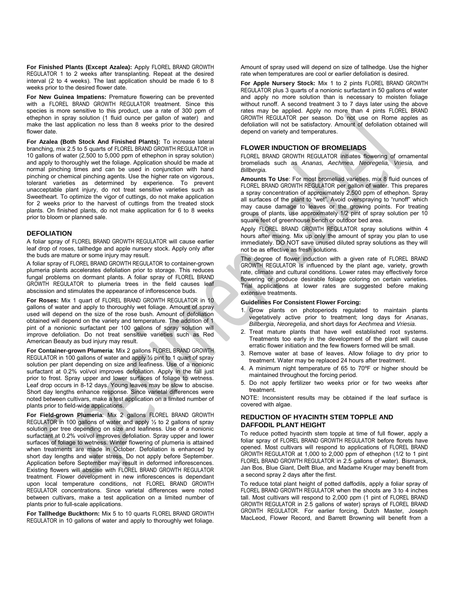**For Finished Plants (Except Azalea):** Apply FLOREL BRAND GROWTH REGULATOR 1 to 2 weeks after transplanting. Repeat at the desired interval (2 to 4 weeks). The last application should be made 6 to 8 weeks prior to the desired flower date.

**For New Guinea Impatiens:** Premature flowering can be prevented with a FLOREL BRAND GROWTH REGULATOR treatment. Since this species is more sensitive to this product, use a rate of 300 ppm of ethephon in spray solution (1 fluid ounce per gallon of water) and make the last application no less than 8 weeks prior to the desired flower date.

**For Azalea (Both Stock And Finished Plants):** To increase lateral branching, mix 2.5 to 5 quarts of FLOREL BRAND GROWTH REGULATOR in 10 gallons of water (2,500 to 5,000 ppm of ethephon in spray solution) and apply to thoroughly wet the foliage. Application should be made at normal pinching times and can be used in conjunction with hand pinching or chemical pinching agents. Use the higher rate on vigorous, tolerant varieties as determined by experience. To prevent unacceptable plant injury, do not treat sensitive varieties such as Sweetheart. To optimize the vigor of cuttings, do not make application for 2 weeks prior to the harvest of cuttings from the treated stock plants. On finished plants, do not make application for 6 to 8 weeks prior to bloom or planned sale.

#### **DEFOLIATION**

A foliar spray of FLOREL BRAND GROWTH REGULATOR will cause earlier leaf drop of roses, tallhedge and apple nursery stock. Apply only after the buds are mature or some injury may result.

A foliar spray of FLOREL BRAND GROWTH REGULATOR to container-grown plumeria plants accelerates defoliation prior to storage. This reduces fungal problems on dormant plants. A foliar spray of FLOREL BRAND GROWTH REGULATOR to plumeria trees in the field causes leaf abscission and stimulates the appearance of inflorescence buds.

**For Roses:** Mix 1 quart of FLOREL BRAND GROWTH REGULATOR in 10 gallons of water and apply to thoroughly wet foliage. Amount of spray used will depend on the size of the rose bush. Amount of defoliation obtained will depend on the variety and temperature. The addition of 1 pint of a nonionic surfactant per 100 gallons of spray solution will improve defoliation. Do not treat sensitive varieties such as Red American Beauty as bud injury may result.

**For Container-grown Plumeria**: Mix 2 gallons FLOREL BRAND GROWTH REGULATOR in 100 gallons of water and apply ½ pint to 1 quart of spray solution per plant depending on size and leafiness. Use of a nonionic surfactant at 0.2% vol/vol improves defoliation. Apply in the fall just prior to frost. Spray upper and lower surfaces of foliage to wetness. Leaf drop occurs in 8-12 days. Young leaves may be slow to abscise. Short day lengths enhance response. Since varietal differences were noted between cultivars, make a test application on a limited number of plants prior to field-wide applications.

**For Field-grown Plumeria**: Mix 2 gallons FLOREL BRAND GROWTH REGULATOR in 100 gallons of water and apply ½ to 2 gallons of spray solution per tree depending on size and leafiness. Use of a nonionic surfactant at 0.2% vol/vol improves defoliation. Spray upper and lower surfaces of foliage to wetness. Winter flowering of plumeria is attained when treatments are made in October. Defoliation is enhanced by short day lengths and water stress. Do not apply before September. Application before September may result in deformed inflorescences. Existing flowers will abscise with FLOREL BRAND GROWTH REGULATOR treatment. Flower development in new inflorescences is dependant upon local temperature conditions, not FLOREL BRAND GROWTH REGULATOR concentrations. Since varietal differences were noted between cultivars, make a test application on a limited number of plants prior to full-scale applications.

**For Tallhedge Buckthorn:** Mix 5 to 10 quarts FLOREL BRAND GROWTH REGULATOR in 10 gallons of water and apply to thoroughly wet foliage. Amount of spray used will depend on size of tallhedge. Use the higher rate when temperatures are cool or earlier defoliation is desired.

**For Apple Nursery Stock:** Mix 1 to 2 pints FLOREL BRAND GROWTH REGULATOR plus 3 quarts of a nonionic surfactant in 50 gallons of water and apply no more solution than is necessary to moisten foliage without runoff. A second treatment 3 to 7 days later using the above rates may be applied. Apply no more than 4 pints FLOREL BRAND GROWTH REGULATOR per season. Do not use on Rome apples as defoliation will not be satisfactory. Amount of defoliation obtained will depend on variety and temperatures.

#### **FLOWER INDUCTION OF BROMELIADS**

FLOREL BRAND GROWTH REGULATOR initiates flowering of ornamental bromeliads such as *Ananas, Aechmea, Neoregelia, Vriesia,* and *Billbergia.*

**Amounts To Use**: For most bromeliad varieties, mix 8 fluid ounces of FLOREL BRAND GROWTH REGULATOR per gallon of water. This prepares a spray concentration of approximately 2,500 ppm of ethephon. Spray all surfaces of the plant to "wet". Avoid overspraying to "runoff" which may cause damage to leaves or the growing points. For treating groups of plants, use approximately 1/2 pint of spray solution per 10 square feet of greenhouse bench or outdoor bed area.

Apply FLOREL BRAND GROWTH REGULATOR spray solutions within 4 hours after mixing. Mix up only the amount of spray you plan to use immediately. DO NOT save unused diluted spray solutions as they will not be as effective as fresh solutions.

The degree of flower induction with a given rate of FLOREL BRAND GROWTH REGULATOR is influenced by the plant age, variety, growth rate, climate and cultural conditions. Lower rates may effectively force flowering or produce desirable foliage coloring on certain varieties. Trial applications at lower rates are suggested before making extensive treatments.

#### **Guidelines For Consistent Flower Forcing:**

- 1. Grow plants on photoperiods regulated to maintain plants vegetatively active prior to treatment; long days for *Ananas*, *Billbergia*, *Neoregelia*, and short days for *Aechmea* and *Vriesia*.
- 2. Treat mature plants that have well established root systems. Treatments too early in the development of the plant will cause erratic flower initiation and the few flowers formed will be small.
- 3. Remove water at base of leaves. Allow foliage to dry prior to treatment. Water may be replaced 24 hours after treatment.
- 4. A minimum night temperature of 65 to 70ºF or higher should be maintained throughout the forcing period.
- 5. Do not apply fertilizer two weeks prior or for two weeks after treatment.

NOTE: Inconsistent results may be obtained if the leaf surface is covered with algae.

#### **REDUCTION OF HYACINTH STEM TOPPLE AND DAFFODIL PLANT HEIGHT**

To reduce potted hyacinth stem topple at time of full flower, apply a foliar spray of FLOREL BRAND GROWTH REGULATOR before florets have opened. Most cultivars will respond to applications of FLOREL BRAND GROWTH REGULATOR at 1,000 to 2,000 ppm of ethephon (1/2 to 1 pint FLOREL BRAND GROWTH REGULATOR in 2.5 gallons of water). Bismarck, Jan Bos, Blue Giant, Delft Blue, and Madame Kruger may benefit from a second spray 2 days after the first.

To reduce total plant height of potted daffodils, apply a foliar spray of FLOREL BRAND GROWTH REGULATOR when the shoots are 3 to 4 inches tall. Most cultivars will respond to 2,000 ppm (1 pint of FLOREL BRAND GROWTH REGULATOR in 2.5 gallons of water) sprays of FLOREL BRAND GROWTH REGULATOR. For earlier forcing, Dutch Master, Joseph MacLeod, Flower Record, and Barrett Browning will benefit from a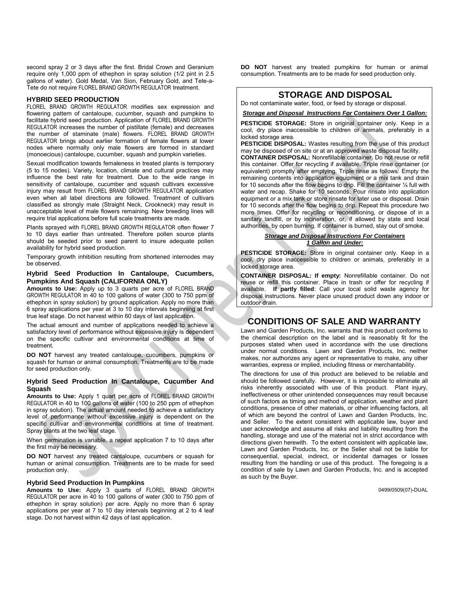second spray 2 or 3 days after the first. Bridal Crown and Geranium require only 1,000 ppm of ethephon in spray solution (1/2 pint in 2.5 gallons of water). Gold Medal, Van Sion, February Gold, and Tete-a-Tete do not require FLOREL BRAND GROWTH REGULATOR treatment.

#### **HYBRID SEED PRODUCTION**

FLOREL BRAND GROWTH REGULATOR modifies sex expression and flowering pattern of cantaloupe, cucumber, squash and pumpkins to facilitate hybrid seed production. Application of FLOREL BRAND GROWTH REGULATOR increases the number of pistillate (female) and decreases the number of staminate (male) flowers. FLOREL BRAND GROWTH REGULATOR brings about earlier formation of female flowers at lower nodes where normally only male flowers are formed in standard (monoecious) cantaloupe, cucumber, squash and pumpkin varieties.

Sexual modification towards femaleness in treated plants is temporary (5 to 15 nodes). Variety, location, climate and cultural practices may influence the best rate for treatment. Due to the wide range in sensitivity of cantaloupe, cucumber and squash cultivars excessive injury may result from FLOREL BRAND GROWTH REGULATOR application even when all label directions are followed. Treatment of cultivars classified as strongly male (Straight Neck, Crookneck) may result in unacceptable level of male flowers remaining. New breeding lines will require trial applications before full scale treatments are made.

Plants sprayed with FLOREL BRAND GROWTH REGULATOR often flower 7 to 10 days earlier than untreated. Therefore pollen source plants should be seeded prior to seed parent to insure adequate pollen availability for hybrid seed production.

Temporary growth inhibition resulting from shortened internodes may be observed.

#### **Hybrid Seed Production In Cantaloupe, Cucumbers, Pumpkins And Squash (CALIFORNIA ONLY)**

**Amounts to Use:** Apply up to 3 quarts per acre of FLOREL BRAND GROWTH REGULATOR in 40 to 100 gallons of water (300 to 750 ppm of ethephon in spray solution) by ground application. Apply no more than 6 spray applications per year at 3 to 10 day intervals beginning at first true leaf stage. Do not harvest within 60 days of last application.

The actual amount and number of applications needed to achieve a satisfactory level of performance without excessive injury is dependent on the specific cultivar and environmental conditions at time of treatment.

**DO NOT** harvest any treated cantaloupe, cucumbers, pumpkins or squash for human or animal consumption. Treatments are to be made for seed production only.

#### **Hybrid Seed Production In Cantaloupe, Cucumber And Squash**

**Amounts to Use:** Apply 1 quart per acre of FLOREL BRAND GROWTH REGULATOR in 40 to 100 gallons of water (100 to 250 ppm of ethephon in spray solution). The actual amount needed to achieve a satisfactory level of performance without excessive injury is dependent on the specific cultivar and environmental conditions at time of treatment. Spray plants at the two leaf stage.

When germination is variable, a repeat application 7 to 10 days after the first may be necessary.

**DO NOT** harvest any treated cantaloupe, cucumbers or squash for human or animal consumption. Treatments are to be made for seed production only.

#### **Hybrid Seed Production In Pumpkins**

**Amounts to Use:** Apply 3 quarts of FLOREL BRAND GROWTH REGULATOR per acre in 40 to 100 gallons of water (300 to 750 ppm of ethephon in spray solution) per acre. Apply no more than 6 spray applications per year at 7 to 10 day intervals beginning at 2 to 4 leaf stage. Do not harvest within 42 days of last application.

**DO NOT** harvest any treated pumpkins for human or animal consumption. Treatments are to be made for seed production only.

## **STORAGE AND DISPOSAL**

Do not contaminate water, food, or feed by storage or disposal.

#### *Storage and Disposal Instructions For Containers Over 1 Gallon:*

**PESTICIDE STORAGE:** Store in original container only. Keep in a cool, dry place inaccessible to children or animals, preferably in a locked storage area.

**PESTICIDE DISPOSAL:** Wastes resulting from the use of this product may be disposed of on site or at an approved waste disposal facility.

**CONTAINER DISPOSAL:** Nonrefillable container. Do not reuse or refill this container. Offer for recycling if available. Triple rinse container (or equivalent) promptly after emptying. Triple rinse as follows: Empty the remaining contents into application equipment or a mix tank and drain for 10 seconds after the flow begins to drip. Fill the container ¼ full with water and recap. Shake for 10 seconds. Pour rinsate into application equipment or a mix tank or store rinsate for later use or disposal. Drain for 10 seconds after the flow begins to drip. Repeat this procedure two more times. Offer for recycling or reconditioning, or dispose of in a sanitary landfill, or by incineration, or, if allowed by state and local authorities, by open burning. If container is burned, stay out of smoke.

#### *Storage and Disposal Instructions For Containers 1 Gallon and Under:*

**PESTICIDE STORAGE:** Store in original container only. Keep in a cool, dry place inaccessible to children or animals, preferably in a locked storage area.

**CONTAINER DISPOSAL: If empty:** Nonrefillable container. Do not reuse or refill this container. Place in trash or offer for recycling if available. **If partly filled**: Call your local solid waste agency for disposal instructions. Never place unused product down any indoor or outdoor drain.

## **CONDITIONS OF SALE AND WARRANTY**

Lawn and Garden Products, Inc. warrants that this product conforms to the chemical description on the label and is reasonably fit for the purposes stated when used in accordance with the use directions under normal conditions. Lawn and Garden Products, Inc. neither makes, nor authorizes any agent or representative to make, any other warranties, express or implied, including fitness or merchantability.

The directions for use of this product are believed to be reliable and should be followed carefully. However, it is impossible to eliminate all risks inherently associated with use of this product. Plant injury, ineffectiveness or other unintended consequences may result because of such factors as timing and method of application, weather and plant conditions, presence of other materials, or other influencing factors, all of which are beyond the control of Lawn and Garden Products, Inc. and Seller. To the extent consistent with applicable law, buyer and user acknowledge and assume all risks and liability resulting from the handling, storage and use of the material not in strict accordance with directions given herewith. To the extent consistent with applicable law, Lawn and Garden Products, Inc. or the Seller shall not be liable for consequential, special, indirect, or incidental damages or losses resulting from the handling or use of this product. The foregoing is a condition of sale by Lawn and Garden Products, Inc. and is accepted as such by the Buyer.

0499/0509(07)-DUAL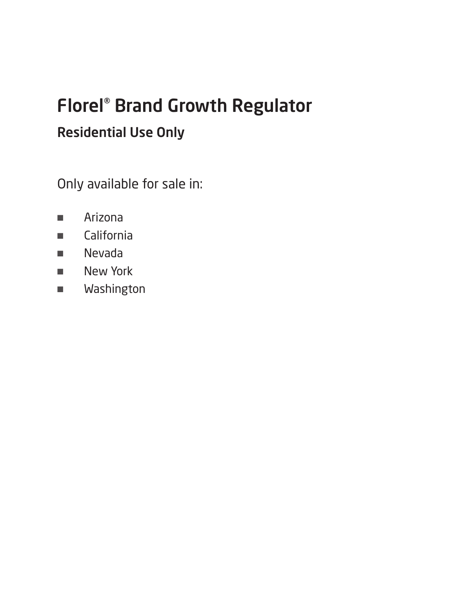# Florel® Brand Growth Regulator Residential Use Only

Only available for sale in:

- Arizona
- California
- Nevada
- New York
- Washington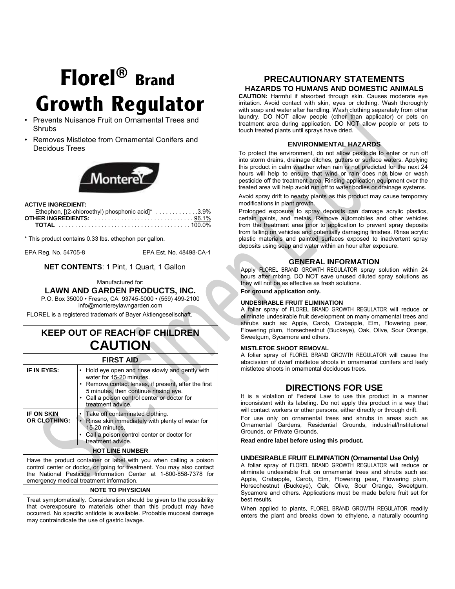# **Florel® Brand Growth Regulator**

- Prevents Nuisance Fruit on Ornamental Trees and **Shrubs**
- Removes Mistletoe from Ornamental Conifers and Decidous Trees



## **ACTIVE INGREDIENT:**

| Ethephon, $[(2-chloroethyl)$ phosphonic acid <sup>*</sup> 3.9% |  |
|----------------------------------------------------------------|--|
|                                                                |  |
|                                                                |  |

\* This product contains 0.33 lbs. ethephon per gallon.

EPA Reg. No. 54705-8 EPA Est. No. 48498-CA-1

## **NET CONTENTS**: 1 Pint, 1 Quart, 1 Gallon

Manufactured for:

## **LAWN AND GARDEN PRODUCTS, INC.**

P.O. Box 35000 • Fresno, CA 93745-5000 • (559) 499-2100 info@montereylawngarden.com

FLOREL is a registered trademark of Bayer Aktiengesellschaft.

## **KEEP OUT OF REACH OF CHILDREN CAUTION**

**FIRST AID**

| IF IN EYES:                                                                                                                                  | • Hold eye open and rinse slowly and gently with<br>water for 15-20 minutes.<br>• Remove contact lenses, if present, after the first<br>5 minutes, then continue rinsing eye.<br>Call a poison control center or doctor for<br>treatment advice. |  |
|----------------------------------------------------------------------------------------------------------------------------------------------|--------------------------------------------------------------------------------------------------------------------------------------------------------------------------------------------------------------------------------------------------|--|
| <b>IF ON SKIN</b><br><b>OR CLOTHING:</b>                                                                                                     | • Take off contaminated clothing.<br>Rinse skin immediately with plenty of water for<br>15-20 minutes.<br>Call a poison control center or doctor for<br>treatment advice.                                                                        |  |
| <b>HOT LINE NUMBER</b>                                                                                                                       |                                                                                                                                                                                                                                                  |  |
| Have the product container or label with you when calling a poison<br>control center or doctor, or going for treatment. You may also contact |                                                                                                                                                                                                                                                  |  |

control control contact and contact or doubled and contact the contact of the contact and contact and contact a the National Pesticide Information Center at 1-800-858-7378 for emergency medical treatment information.

#### **NOTE TO PHYSICIAN**

Treat symptomatically. Consideration should be given to the possibility that overexposure to materials other than this product may have occurred. No specific antidote is available. Probable mucosal damage may contraindicate the use of gastric lavage.

## **PRECAUTIONARY STATEMENTS HAZARDS TO HUMANS AND DOMESTIC ANIMALS**

**CAUTION:** Harmful if absorbed through skin. Causes moderate eye irritation. Avoid contact with skin, eyes or clothing. Wash thoroughly with soap and water after handling. Wash clothing separately from other laundry. DO NOT allow people (other than applicator) or pets on treatment area during application. DO NOT allow people or pets to touch treated plants until sprays have dried.

### **ENVIRONMENTAL HAZARDS**

To protect the environment, do not allow pesticide to enter or run off into storm drains, drainage ditches, gutters or surface waters. Applying this product in calm weather when rain is not predicted for the next 24 hours will help to ensure that wind or rain does not blow or wash pesticide off the treatment area. Rinsing application equipment over the treated area will help avoid run off to water bodies or drainage systems.

Avoid spray drift to nearby plants as this product may cause temporary modifications in plant growth.

Prolonged exposure to spray deposits can damage acrylic plastics, certain paints, and metals. Remove automobiles and other vehicles from the treatment area prior to application to prevent spray deposits from falling on vehicles and potentially damaging finishes. Rinse acrylic plastic materials and painted surfaces exposed to inadvertent spray deposits using soap and water within an hour after exposure.

## **GENERAL INFORMATION**

Apply FLOREL BRAND GROWTH REGULATOR spray solution within 24 hours after mixing. DO NOT save unused diluted spray solutions as they will not be as effective as fresh solutions.

**For ground application only.** 

#### **UNDESIRABLE FRUIT ELIMINATION**

A foliar spray of FLOREL BRAND GROWTH REGULATOR will reduce or eliminate undesirable fruit development on many ornamental trees and shrubs such as: Apple, Carob, Crabapple, Elm, Flowering pear, Flowering plum, Horsechestnut (Buckeye), Oak, Olive, Sour Orange, Sweetgum, Sycamore and others.

#### **MISTLETOE SHOOT REMOVAL**

A foliar spray of FLOREL BRAND GROWTH REGULATOR will cause the abscission of dwarf mistletoe shoots in ornamental conifers and leafy mistletoe shoots in ornamental deciduous trees.

## **DIRECTIONS FOR USE**

It is a violation of Federal Law to use this product in a manner inconsistent with its labeling. Do not apply this product in a way that will contact workers or other persons, either directly or through drift. For use only on ornamental trees and shrubs in areas such as

Ornamental Gardens, Residential Grounds, industrial/Institutional Grounds, or Private Grounds.

**Read entire label before using this product.** 

#### **UNDESIRABLE FRUIT ELIMINATION (Ornamental Use Only)**

A foliar spray of FLOREL BRAND GROWTH REGULATOR will reduce or eliminate undesirable fruit on ornamental trees and shrubs such as: Apple, Crabapple, Carob, Elm, Flowering pear, Flowering plum, Horsechestnut (Buckeye), Oak, Olive, Sour Orange, Sweetgum, Sycamore and others. Applications must be made before fruit set for best results.

When applied to plants, FLOREL BRAND GROWTH REGULATOR readily enters the plant and breaks down to ethylene, a naturally occurring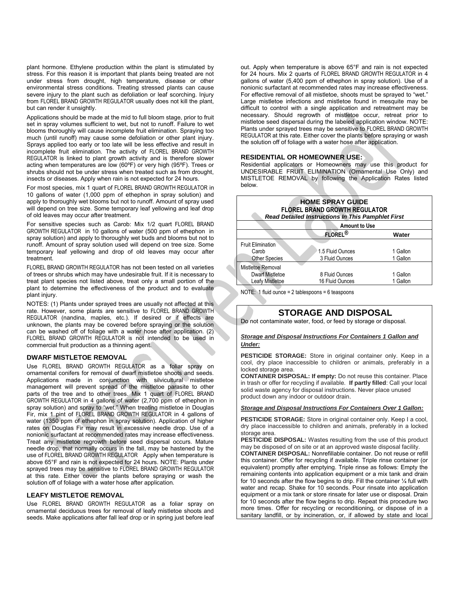plant hormone. Ethylene production within the plant is stimulated by stress. For this reason it is important that plants being treated are not under stress from drought, high temperature, disease or other environmental stress conditions. Treating stressed plants can cause severe injury to the plant such as defoliation or leaf scorching. Injury from FLOREL BRAND GROWTH REGULATOR usually does not kill the plant, but can render it unsightly.

Applications should be made at the mid to full bloom stage, prior to fruit set in spray volumes sufficient to wet, but not to runoff. Failure to wet blooms thoroughly will cause incomplete fruit elimination. Spraying too much (until runoff) may cause some defoliation or other plant injury. Sprays applied too early or too late will be less effective and result in incomplete fruit elimination. The activity of FLOREL BRAND GROWTH REGULATOR is linked to plant growth activity and is therefore slower acting when temperatures are low (60ºF) or very high (95ºF). Trees or shrubs should not be under stress when treated such as from drought, insects or diseases. Apply when rain is not expected for 24 hours.

For most species, mix 1 quart of FLOREL BRAND GROWTH REGULATOR in 10 gallons of water (1,000 ppm of ethephon in spray solution) and apply to thoroughly wet blooms but not to runoff. Amount of spray used will depend on tree size. Some temporary leaf yellowing and leaf drop of old leaves may occur after treatment.

For sensitive species such as Carob: Mix 1/2 quart FLOREL BRAND GROWTH REGULATOR in 10 gallons of water (500 ppm of ethephon in spray solution) and apply to thoroughly wet buds and blooms but not to runoff. Amount of spray solution used will depend on tree size. Some temporary leaf yellowing and drop of old leaves may occur after treatment.

FLOREL BRAND GROWTH REGULATOR has not been tested on all varieties of trees or shrubs which may have undesirable fruit. If it is necessary to treat plant species not listed above, treat only a small portion of the plant to determine the effectiveness of the product and to evaluate plant injury.

NOTES: (1) Plants under sprayed trees are usually not affected at this rate. However, some plants are sensitive to FLOREL BRAND GROWTH REGULATOR (nandina, maples, etc.). If desired or if effects are unknown, the plants may be covered before spraying or the solution can be washed off of foliage with a water hose after application. (2) FLOREL BRAND GROWTH REGULATOR is not intended to be used in commercial fruit production as a thinning agent.

#### **DWARF MISTLETOE REMOVAL**

Use FLOREL BRAND GROWTH REGULATOR as a foliar spray on ornamental conifers for removal of dwarf mistletoe shoots and seeds. Applications made in conjunction with silvicultural mistletoe management will prevent spread of the mistletoe parasite to other parts of the tree and to other trees. Mix 1 quart of FLOREL BRAND GROWTH REGULATOR in 4 gallons of water (2,700 ppm of ethephon in spray solution) and spray to "wet." When treating mistletoe in Douglas Fir, mix 1 pint of FLOREL BRAND GROWTH REGULATOR in 4 gallons of water (1350 ppm of ethephon in spray solution). Application of higher rates on Douglas Fir may result in excessive needle drop. Use of a nonionic surfactant at recommended rates may increase effectiveness. Treat any mistletoe regrowth before seed dispersal occurs. Mature needle drop, that normally occurs in the fall, may be hastened by the use of FLOREL BRAND GROWTH REGULATOR Apply when temperature is above 65°F and rain is not expected for 24 hours. NOTE: Plants under sprayed trees may be sensitive to FLOREL BRAND GROWTH REGULATOR at this rate. Either cover the plants before spraying or wash the solution off of foliage with a water hose after application.

#### **LEAFY MISTLETOE REMOVAL**

Use FLOREL BRAND GROWTH REGULATOR as a foliar spray on ornamental deciduous trees for removal of leafy mistletoe shoots and seeds. Make applications after fall leaf drop or in spring just before leaf out. Apply when temperature is above 65°F and rain is not expected for 24 hours. Mix 2 quarts of FLOREL BRAND GROWTH REGULATOR in 4 gallons of water (5,400 ppm of ethephon in spray solution). Use of a nonionic surfactant at recommended rates may increase effectiveness. For effective removal of all mistletoe, shoots must be sprayed to "wet." Large mistletoe infections and mistletoe found in mesquite may be difficult to control with a single application and retreatment may be necessary. Should regrowth of mistletoe occur, retreat prior to mistletoe seed dispersal during the labeled application window. NOTE: Plants under sprayed trees may be sensitive to FLOREL BRAND GROWTH REGULATOR at this rate. Either cover the plants before spraying or wash the solution off of foliage with a water hose after application.

#### **RESIDENTIAL OR HOMEOWNER USE:**

Residential applicators or Homeowners may use this product for UNDESIRABLE FRUIT ELIMINATION (Ornamental Use Only) and MISTLETOE REMOVAL by following the Application Rates listed below.

| <b>HOME SPRAY GUIDE</b><br><b>FLOREL BRAND GROWTH REGULATOR</b><br><b>Read Detailed Instructions In This Pamphlet First</b> |                     |          |  |
|-----------------------------------------------------------------------------------------------------------------------------|---------------------|----------|--|
| <b>Amount to Use</b>                                                                                                        |                     |          |  |
|                                                                                                                             | FLOREL $^\circledR$ | Water    |  |
| Fruit Elimination                                                                                                           |                     |          |  |
| Carob                                                                                                                       | 1.5 Fluid Ounces    | 1 Gallon |  |
| <b>Other Species</b>                                                                                                        | 3 Fluid Ounces      | 1 Gallon |  |
| Mistletoe Removal                                                                                                           |                     |          |  |
| <b>Dwarf Mistletoe</b>                                                                                                      | 8 Fluid Ounces      | 1 Gallon |  |
| Leafy Mistletoe                                                                                                             | 16 Fluid Ounces     | 1 Gallon |  |

NOTE: 1 fluid ounce = 2 tablespoons = 6 teaspoons

## **STORAGE AND DISPOSAL**

Do not contaminate water, food, or feed by storage or disposal.

#### *Storage and Disposal Instructions For Containers 1 Gallon and Under:*

**PESTICIDE STORAGE:** Store in original container only. Keep in a cool, dry place inaccessible to children or animals, preferably in a locked storage area.

**CONTAINER DISPOSAL: If empty:** Do not reuse this container. Place in trash or offer for recycling if available. **If partly filled**: Call your local solid waste agency for disposal instructions. Never place unused product down any indoor or outdoor drain.

#### *Storage and Disposal Instructions For Containers Over 1 Gallon:*

**PESTICIDE STORAGE:** Store in original container only. Keep I a cool, dry place inaccessible to children and animals, preferably in a locked storage area.

**PESTICIDE DISPOSAL:** Wastes resulting from the use of this product may be disposed of on site or at an approved waste disposal facility.

**CONTAINER DISPOSAL:** Nonrefillable container. Do not reuse or refill this container. Offer for recycling if available. Triple rinse container (or equivalent) promptly after emptying. Triple rinse as follows: Empty the remaining contents into application equipment or a mix tank and drain for 10 seconds after the flow begins to drip. Fill the container ¼ full with water and recap. Shake for 10 seconds. Pour rinsate into application equipment or a mix tank or store rinsate for later use or disposal. Drain for 10 seconds after the flow begins to drip. Repeat this procedure two more times. Offer for recycling or reconditioning, or dispose of in a sanitary landfill, or by incineration, or, if allowed by state and local